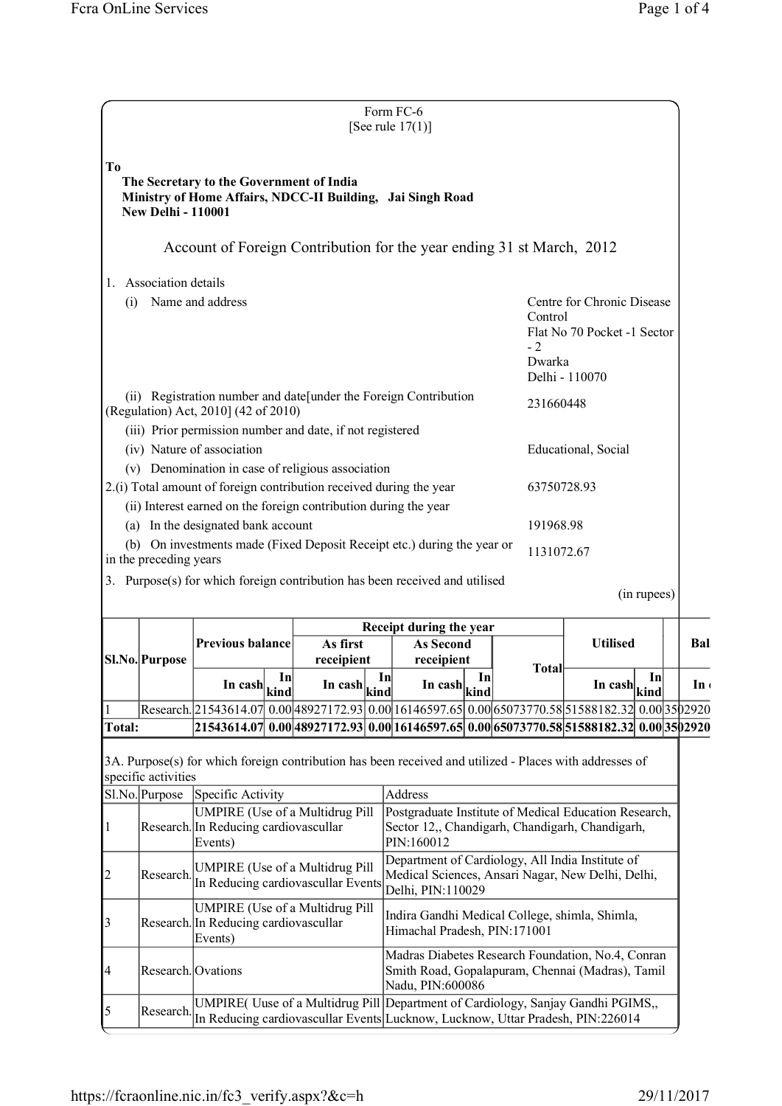|                                      |                                                                                         |                                                                                                                                                                                              |  |                                                        | Form FC-6<br>[See rule $17(1)$ ]                                                                                           |                 |                                                           |             |                 |
|--------------------------------------|-----------------------------------------------------------------------------------------|----------------------------------------------------------------------------------------------------------------------------------------------------------------------------------------------|--|--------------------------------------------------------|----------------------------------------------------------------------------------------------------------------------------|-----------------|-----------------------------------------------------------|-------------|-----------------|
| T <sub>0</sub>                       | <b>New Delhi - 110001</b>                                                               | The Secretary to the Government of India<br>Ministry of Home Affairs, NDCC-II Building, Jai Singh Road                                                                                       |  |                                                        |                                                                                                                            |                 |                                                           |             |                 |
|                                      |                                                                                         | Account of Foreign Contribution for the year ending 31 st March, 2012                                                                                                                        |  |                                                        |                                                                                                                            |                 |                                                           |             |                 |
| Ι.                                   | Association details                                                                     |                                                                                                                                                                                              |  |                                                        |                                                                                                                            |                 |                                                           |             |                 |
| (i)                                  |                                                                                         | Name and address                                                                                                                                                                             |  |                                                        |                                                                                                                            | Control<br>$-2$ | Centre for Chronic Disease<br>Flat No 70 Pocket -1 Sector |             |                 |
|                                      |                                                                                         |                                                                                                                                                                                              |  |                                                        |                                                                                                                            | Dwarka          | Delhi - 110070                                            |             |                 |
|                                      |                                                                                         | (ii) Registration number and date[under the Foreign Contribution<br>(Regulation) Act, 2010] (42 of 2010)                                                                                     |  |                                                        |                                                                                                                            | 231660448       |                                                           |             |                 |
|                                      | (iii) Prior permission number and date, if not registered<br>(iv) Nature of association |                                                                                                                                                                                              |  |                                                        | Educational, Social                                                                                                        |                 |                                                           |             |                 |
|                                      |                                                                                         | (v) Denomination in case of religious association<br>2.(i) Total amount of foreign contribution received during the year                                                                     |  |                                                        |                                                                                                                            | 63750728.93     |                                                           |             |                 |
|                                      |                                                                                         | (ii) Interest earned on the foreign contribution during the year<br>(a) In the designated bank account                                                                                       |  |                                                        |                                                                                                                            | 191968.98       |                                                           |             |                 |
|                                      |                                                                                         |                                                                                                                                                                                              |  |                                                        |                                                                                                                            |                 |                                                           |             |                 |
|                                      | in the preceding years                                                                  |                                                                                                                                                                                              |  |                                                        | (b) On investments made (Fixed Deposit Receipt etc.) during the year or                                                    | 1131072.67      |                                                           |             |                 |
|                                      |                                                                                         | 3. Purpose(s) for which foreign contribution has been received and utilised                                                                                                                  |  |                                                        |                                                                                                                            |                 |                                                           | (in rupees) |                 |
|                                      |                                                                                         |                                                                                                                                                                                              |  |                                                        | Receipt during the year                                                                                                    |                 |                                                           |             |                 |
|                                      | SI.No. Purpose                                                                          | <b>Previous balance</b>                                                                                                                                                                      |  | As first<br>receipient                                 | <b>As Second</b><br>receipient                                                                                             | <b>Total</b>    | <b>Utilised</b>                                           |             | Bal             |
|                                      |                                                                                         | In $\cosh\left \frac{\sinh\theta}{\sinh\theta}\right $                                                                                                                                       |  | In $\cosh\left \frac{\sinh\theta}{\sinh\theta}\right $ | In cash $\left \frac{\text{kind}}{\text{kind}}\right $                                                                     |                 | In cash $\left \text{kind}\right $                        | In          | In <sub>1</sub> |
|                                      |                                                                                         | Research. 21543614.07 0.00 48927172.93 0.00 16146597.65 0.00 65073770.58 51588182.32 0.00 3502920<br>21543614.07 0.00 48927172.93 0.00 16146597.65 0.00 65073770.58 51588182.32 0.00 3502920 |  |                                                        |                                                                                                                            |                 |                                                           |             |                 |
|                                      | specific activities<br>Sl.No. Purpose                                                   | 3A. Purpose(s) for which foreign contribution has been received and utilized - Places with addresses of<br>Specific Activity<br>UMPIRE (Use of a Multidrug Pill                              |  |                                                        | Address<br>Postgraduate Institute of Medical Education Research,                                                           |                 |                                                           |             |                 |
|                                      |                                                                                         | Research. In Reducing cardiovascullar<br>Events)                                                                                                                                             |  |                                                        | Sector 12,, Chandigarh, Chandigarh, Chandigarh,<br>PIN:160012                                                              |                 |                                                           |             |                 |
|                                      | Research.                                                                               | UMPIRE (Use of a Multidrug Pill<br>In Reducing cardiovascullar Events                                                                                                                        |  |                                                        | Department of Cardiology, All India Institute of<br>Medical Sciences, Ansari Nagar, New Delhi, Delhi,<br>Delhi, PIN:110029 |                 |                                                           |             |                 |
|                                      |                                                                                         | <b>UMPIRE</b> (Use of a Multidrug Pill<br>Research. In Reducing cardiovascullar<br>Events)                                                                                                   |  |                                                        | Indira Gandhi Medical College, shimla, Shimla,<br>Himachal Pradesh, PIN:171001                                             |                 |                                                           |             |                 |
| <b>Total:</b><br> 1<br> 2<br>3<br> 4 | Research. Ovations                                                                      |                                                                                                                                                                                              |  |                                                        | Madras Diabetes Research Foundation, No.4, Conran<br>Smith Road, Gopalapuram, Chennai (Madras), Tamil<br>Nadu, PIN:600086  |                 |                                                           |             |                 |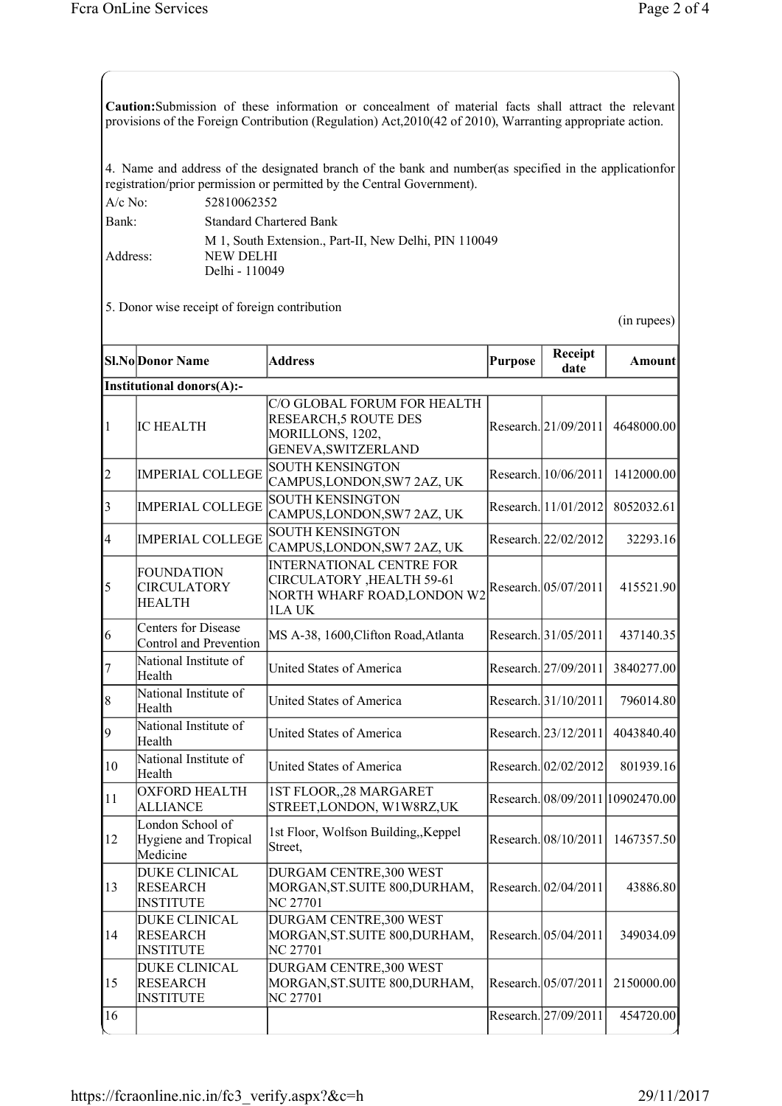**Caution:**Submission of these information or concealment of material facts shall attract the relevant provisions of the Foreign Contribution (Regulation) Act,2010(42 of 2010), Warranting appropriate action.

4. Name and address of the designated branch of the bank and number(as specified in the applicationfor registration/prior permission or permitted by the Central Government).

| $A/c$ No: | 52810062352                                                                          |
|-----------|--------------------------------------------------------------------------------------|
| Bank:     | <b>Standard Chartered Bank</b>                                                       |
| Address:  | M 1, South Extension., Part-II, New Delhi, PIN 110049<br>NEW DELHI<br>Delhi - 110049 |

5. Donor wise receipt of foreign contribution

(in rupees)

|               | <b>SI.No</b> Donor Name                                     | <b>Address</b>                                                                                         | Purpose | Receipt<br>date      | <b>Amount</b>                    |
|---------------|-------------------------------------------------------------|--------------------------------------------------------------------------------------------------------|---------|----------------------|----------------------------------|
|               | Institutional donors(A):-                                   |                                                                                                        |         |                      |                                  |
| $\vert$ 1     | <b>IC HEALTH</b>                                            | C/O GLOBAL FORUM FOR HEALTH<br><b>RESEARCH,5 ROUTE DES</b><br>MORILLONS, 1202,<br>GENEVA, SWITZERLAND  |         | Research. 21/09/2011 | 4648000.00                       |
| 2             | <b>IMPERIAL COLLEGE</b>                                     | <b>SOUTH KENSINGTON</b><br>CAMPUS, LONDON, SW7 2AZ, UK                                                 |         | Research. 10/06/2011 | 1412000.00                       |
| 3             | <b>IMPERIAL COLLEGE</b>                                     | <b>SOUTH KENSINGTON</b><br>CAMPUS, LONDON, SW7 2AZ, UK                                                 |         | Research. 11/01/2012 | 8052032.61                       |
| 14            | <b>IMPERIAL COLLEGE</b>                                     | <b>SOUTH KENSINGTON</b><br>CAMPUS, LONDON, SW7 2AZ, UK                                                 |         | Research. 22/02/2012 | 32293.16                         |
| 5             | FOUNDATION<br><b>CIRCULATORY</b><br><b>HEALTH</b>           | <b>INTERNATIONAL CENTRE FOR</b><br>CIRCULATORY , HEALTH 59-61<br>NORTH WHARF ROAD, LONDON W2<br>1LA UK |         | Research. 05/07/2011 | 415521.90                        |
| 6             | Centers for Disease<br>Control and Prevention               | MS A-38, 1600, Clifton Road, Atlanta                                                                   |         | Research. 31/05/2011 | 437140.35                        |
| 17            | National Institute of<br>Health                             | United States of America                                                                               |         | Research. 27/09/2011 | 3840277.00                       |
| 8             | National Institute of<br>Health                             | United States of America                                                                               |         | Research. 31/10/2011 | 796014.80                        |
| 19            | National Institute of<br>Health                             | United States of America                                                                               |         | Research. 23/12/2011 | 4043840.40                       |
| 10            | National Institute of<br>Health                             | United States of America                                                                               |         | Research. 02/02/2012 | 801939.16                        |
| <sup>11</sup> | <b>OXFORD HEALTH</b><br><b>ALLIANCE</b>                     | 1ST FLOOR,,28 MARGARET<br>STREET, LONDON, W1W8RZ, UK                                                   |         |                      | Research. 08/09/2011 10902470.00 |
| 12            | London School of<br>Hygiene and Tropical<br>Medicine        | 1st Floor, Wolfson Building, Keppel<br>Street,                                                         |         | Research. 08/10/2011 | 1467357.50                       |
| 13            | <b>DUKE CLINICAL</b><br><b>RESEARCH</b><br><b>INSTITUTE</b> | DURGAM CENTRE,300 WEST<br>MORGAN, ST. SUITE 800, DURHAM,<br><b>NC 27701</b>                            |         | Research. 02/04/2011 | 43886.80                         |
| 14            | DUKE CLINICAL<br><b>RESEARCH</b><br><b>INSTITUTE</b>        | DURGAM CENTRE,300 WEST<br>MORGAN, ST. SUITE 800, DURHAM,<br><b>NC 27701</b>                            |         | Research. 05/04/2011 | 349034.09                        |
| <sup>15</sup> | <b>DUKE CLINICAL</b><br><b>RESEARCH</b><br><b>INSTITUTE</b> | DURGAM CENTRE,300 WEST<br>MORGAN, ST. SUITE 800, DURHAM,<br><b>NC 27701</b>                            |         | Research. 05/07/2011 | 2150000.00                       |
| 16            |                                                             |                                                                                                        |         | Research. 27/09/2011 | 454720.00                        |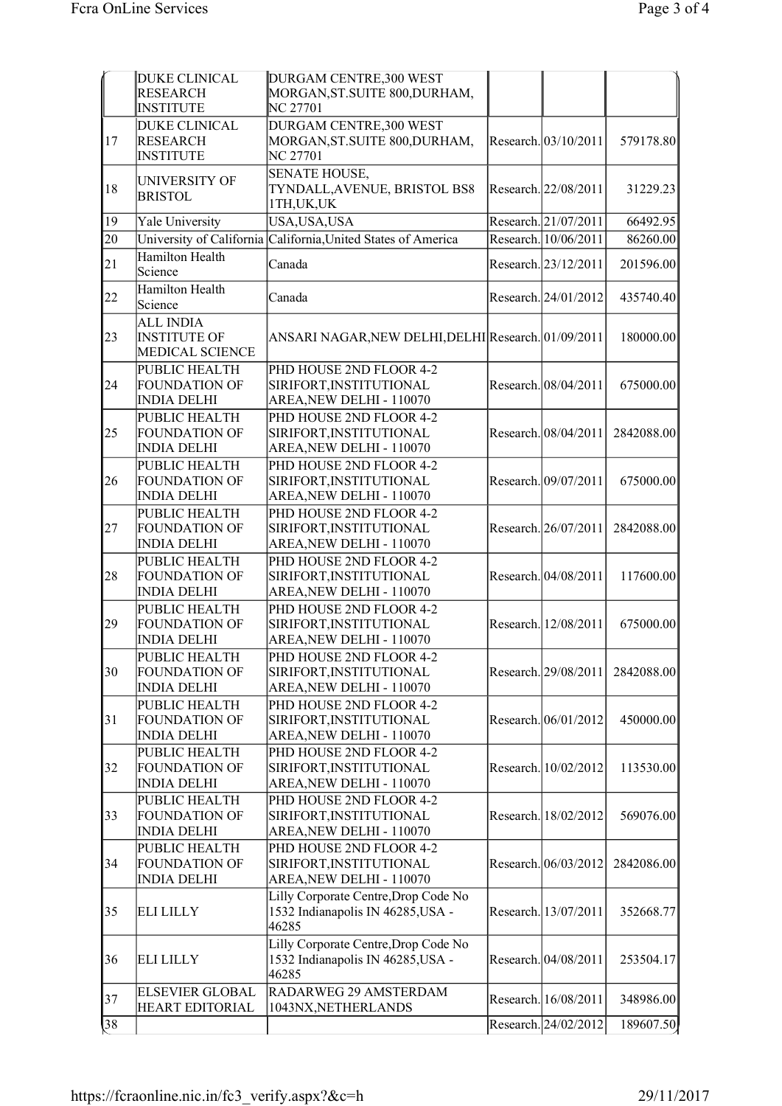|               | <b>DUKE CLINICAL</b><br><b>RESEARCH</b><br><b>INSTITUTE</b> | DURGAM CENTRE, 300 WEST<br>MORGAN, ST. SUITE 800, DURHAM,<br>NC 27701              |                      |            |
|---------------|-------------------------------------------------------------|------------------------------------------------------------------------------------|----------------------|------------|
| 17            | <b>DUKE CLINICAL</b><br><b>RESEARCH</b><br><b>INSTITUTE</b> | DURGAM CENTRE,300 WEST<br>MORGAN, ST. SUITE 800, DURHAM,<br><b>NC 27701</b>        | Research. 03/10/2011 | 579178.80  |
| 18            | UNIVERSITY OF<br><b>BRISTOL</b>                             | <b>SENATE HOUSE,</b><br>TYNDALL, AVENUE, BRISTOL BS8<br>1TH, UK, UK                | Research. 22/08/2011 | 31229.23   |
| <sup>19</sup> | Yale University                                             | USA, USA, USA                                                                      | Research. 21/07/2011 | 66492.95   |
| 20            |                                                             | University of California California, United States of America                      | Research. 10/06/2011 | 86260.00   |
| 21            | Hamilton Health<br>Science                                  | Canada                                                                             | Research. 23/12/2011 | 201596.00  |
| 22            | Hamilton Health<br>Science                                  | Canada                                                                             | Research. 24/01/2012 | 435740.40  |
| 23            | <b>ALL INDIA</b><br><b>INSTITUTE OF</b><br>MEDICAL SCIENCE  | ANSARI NAGAR, NEW DELHI, DELHI Research. 01/09/2011                                |                      | 180000.00  |
| 24            | PUBLIC HEALTH<br><b>FOUNDATION OF</b><br><b>INDIA DELHI</b> | PHD HOUSE 2ND FLOOR 4-2<br>SIRIFORT, INSTITUTIONAL<br>AREA, NEW DELHI - 110070     | Research. 08/04/2011 | 675000.00  |
| 25            | PUBLIC HEALTH<br><b>FOUNDATION OF</b><br><b>INDIA DELHI</b> | PHD HOUSE 2ND FLOOR 4-2<br>SIRIFORT, INSTITUTIONAL<br>AREA, NEW DELHI - 110070     | Research. 08/04/2011 | 2842088.00 |
| 26            | PUBLIC HEALTH<br><b>FOUNDATION OF</b><br><b>INDIA DELHI</b> | PHD HOUSE 2ND FLOOR 4-2<br>SIRIFORT, INSTITUTIONAL<br>AREA, NEW DELHI - 110070     | Research. 09/07/2011 | 675000.00  |
| 27            | PUBLIC HEALTH<br><b>FOUNDATION OF</b><br><b>INDIA DELHI</b> | PHD HOUSE 2ND FLOOR 4-2<br>SIRIFORT, INSTITUTIONAL<br>AREA, NEW DELHI - 110070     | Research. 26/07/2011 | 2842088.00 |
| 28            | PUBLIC HEALTH<br><b>FOUNDATION OF</b><br><b>INDIA DELHI</b> | PHD HOUSE 2ND FLOOR 4-2<br>SIRIFORT, INSTITUTIONAL<br>AREA, NEW DELHI - 110070     | Research. 04/08/2011 | 117600.00  |
| 29            | PUBLIC HEALTH<br><b>FOUNDATION OF</b><br><b>INDIA DELHI</b> | PHD HOUSE 2ND FLOOR 4-2<br>SIRIFORT, INSTITUTIONAL<br>AREA, NEW DELHI - 110070     | Research. 12/08/2011 | 675000.00  |
| 30            | PUBLIC HEALTH<br>FOUNDATION OF<br><b>INDIA DELHI</b>        | PHD HOUSE 2ND FLOOR 4-2<br>SIRIFORT, INSTITUTIONAL<br>AREA, NEW DELHI - 110070     | Research. 29/08/2011 | 2842088.00 |
| 31            | PUBLIC HEALTH<br><b>FOUNDATION OF</b><br><b>INDIA DELHI</b> | PHD HOUSE 2ND FLOOR 4-2<br>SIRIFORT, INSTITUTIONAL<br>AREA, NEW DELHI - 110070     | Research. 06/01/2012 | 450000.00  |
| 32            | PUBLIC HEALTH<br><b>FOUNDATION OF</b><br><b>INDIA DELHI</b> | PHD HOUSE 2ND FLOOR 4-2<br>SIRIFORT, INSTITUTIONAL<br>AREA, NEW DELHI - 110070     | Research. 10/02/2012 | 113530.00  |
| 33            | PUBLIC HEALTH<br><b>FOUNDATION OF</b><br><b>INDIA DELHI</b> | PHD HOUSE 2ND FLOOR 4-2<br>SIRIFORT, INSTITUTIONAL<br>AREA, NEW DELHI - 110070     | Research. 18/02/2012 | 569076.00  |
| 34            | PUBLIC HEALTH<br><b>FOUNDATION OF</b><br><b>INDIA DELHI</b> | PHD HOUSE 2ND FLOOR 4-2<br>SIRIFORT, INSTITUTIONAL<br>AREA, NEW DELHI - 110070     | Research. 06/03/2012 | 2842086.00 |
| 35            | <b>ELI LILLY</b>                                            | Lilly Corporate Centre, Drop Code No<br>1532 Indianapolis IN 46285, USA -<br>46285 | Research. 13/07/2011 | 352668.77  |
| 36            | <b>ELI LILLY</b>                                            | Lilly Corporate Centre, Drop Code No<br>1532 Indianapolis IN 46285, USA -<br>46285 | Research. 04/08/2011 | 253504.17  |
| 37            | <b>ELSEVIER GLOBAL</b><br><b>HEART EDITORIAL</b>            | RADARWEG 29 AMSTERDAM<br>1043NX, NETHERLANDS                                       | Research. 16/08/2011 | 348986.00  |
| 38            |                                                             |                                                                                    | Research. 24/02/2012 | 189607.50  |